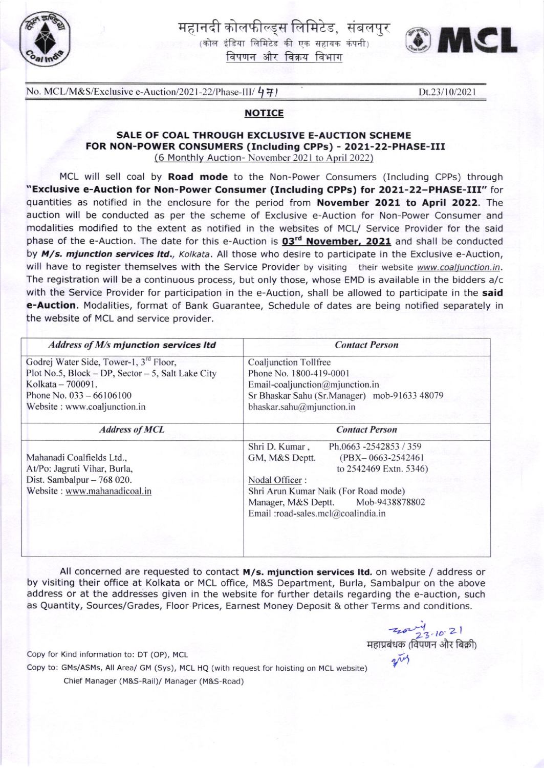

# महानदी कोलफील्ड्स लिमिटेड, संबलपुर

 $(\overline{a})$ कोल इंडिया लिमिटेड की एक सहायक कंपनी विपणन और विक्रय विभाग



No. MCL/M&S/Exclusive e-Auction/2021-22/Phase-III/ $4\overline{7}$ ) Dt.23/10/2021

### **NOTICE**

## SALE OF COAL THROUGH EXCLUSIVE E-AUCTION SCHEME FOR NON-POWER CONSUMERS (Including CPPs) - 2021-22-PHASE-III

thly Auction- November 2021 to April 2022

MCL will sell coal by Road mode to the Non-Power Consumers (Including CPPs) through "Exclusive e-Auction for Non-Power Consumer (Including CPPS) for 2O21-22-PHASE-III" for quantities as notified in the enclosure for the period from November 2021 to April 2022. The auction will be conducted as per the scheme of Exclusive e-Auction for Non-Power Consumer and modalities modified to the extent as notified in the websites of MCL/ Service Provider for the said phase of the e-Auction. The date for this e-Auction is  $03^{rd}$  November, 2021 and shall be conducted by M/s. mjunction services Itd., Kolkata. All those who desire to participate in the Exclusive e-Auction, will have to register themselves with the Service Provider by visiting their website www.coaljunction.in. The registration will be a continuous process, but only those, whose EMD is available in the bidders a/c with the Service Provider for participation in the e-Auction, shall be allowed to participate in the said e-Auction. Modalities, format of Bank Guarantee, Schedule of dates are being notified separately in the website of MCL and service provider.

| Address of M/s mjunction services Itd                                                                                                                                                      | <b>Contact Person</b>                                                                                                                                                                                                                                  |  |  |  |
|--------------------------------------------------------------------------------------------------------------------------------------------------------------------------------------------|--------------------------------------------------------------------------------------------------------------------------------------------------------------------------------------------------------------------------------------------------------|--|--|--|
| Godrej Water Side, Tower-1, 3 <sup>rd</sup> Floor,<br>Plot No.5, Block - DP, Sector - 5, Salt Lake City<br>Kolkata - 700091.<br>Phone No. $033 - 66106100$<br>Website: www.coaljunction.in | Coaljunction Tollfree<br>Phone No. 1800-419-0001<br>Email-coaljunction@mjunction.in<br>Sr Bhaskar Sahu (Sr.Manager) mob-91633 48079<br>bhaskar.sahu@mjunction.in                                                                                       |  |  |  |
| <b>Address of MCL</b>                                                                                                                                                                      | <b>Contact Person</b>                                                                                                                                                                                                                                  |  |  |  |
| Mahanadi Coalfields Ltd.,<br>At/Po: Jagruti Vihar, Burla,<br>Dist. Sambalpur $-768020$ .<br>Website: www.mahanadicoal.in                                                                   | Shri D. Kumar,<br>Ph.0663 -2542853 / 359<br>GM, M&S Deptt.<br>$(PBX - 0663 - 2542461)$<br>to 2542469 Extn. 5346)<br>Nodal Officer:<br>Shri Arun Kumar Naik (For Road mode)<br>Manager, M&S Deptt. Mob-9438878802<br>Email :road-sales.mcl@coalindia.in |  |  |  |

All concerned are requested to contact  $M/s$ . mjunction services ltd. on website / address or by visiting their office at Kolkata or MCL office, M&S Department, Burla, Sambalpur on the above address or at the addresses given in the website for further details regarding the e-auction, such as Quantity, Sources/Grades, Floor Prices, Earnest Money Deposit & other Terms and conditions.

 $70.2$ .<br>महाप्रबंधक (विपणन और बिक्री)  $\tilde{\mathscr{V}}$ 

Copy for Kind information to: DT (OP), MCL Copy to: GMs/ASMs, All Area/ GM (Sys), MCL HQ (with request for hoisting on MCL website) Chief Manager (M&S-Rail)/ Manager (M&S-Road)